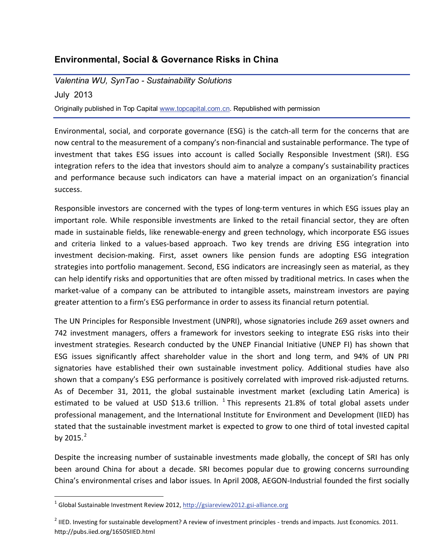# **Environmental, Social & Governance Risks in China**

*Valentina WU, SynTao - Sustainability Solutions*

July 2013 Originally published in Top Ca[pital www.topcapital.com](http://www.topcapital.com.cn/).cn. Republished with permission

Environmental, social, and corporate governance (ESG) is the catch-all term for the concerns that are now central to the measurement of a company's non-financial and sustainable performance. The type of investment that takes ESG issues into account is called Socially Responsible Investment (SRI). ESG integration refers to the idea that investors should aim to analyze a company's sustainability practices and performance because such indicators can have a material impact on an organization's financial success.

Responsible investors are concerned with the types of long-term ventures in which ESG issues play an important role. While responsible investments are linked to the retail financial sector, they are often made in sustainable fields, like renewable-energy and green technology, which incorporate ESG issues and criteria linked to a values-based approach. Two key trends are driving ESG integration into investment decision-making. First, asset owners like pension funds are adopting ESG integration strategies into portfolio management. Second, ESG indicators are increasingly seen as material, as they can help identify risks and opportunities that are often missed by traditional metrics. In cases when the market-value of a company can be attributed to intangible assets, mainstream investors are paying greater attention to a firm's ESG performance in order to assess its financial return potential.

The UN Principles for Responsible Investment (UNPRI), whose signatories include 269 asset owners and 742 investment managers, offers a framework for investors seeking to integrate ESG risks into their investment strategies. Research conducted by the UNEP Financial Initiative (UNEP FI) has shown that ESG issues significantly affect shareholder value in the short and long term, and 94% of UN PRI signatories have established their own sustainable investment policy. Additional studies have also shown that a company's ESG performance is positively correlated with improved risk-adjusted returns. As of December 31, 2011, the global sustainable investment market (excluding Latin America) is estimated to be valued at USD \$[1](#page-0-0)3.6 trillion.  $1$  This represents 21.8% of total global assets under professional management, and the International Institute for Environment and Development (IIED) has stated that the sustainable investment market is expected to grow to one third of total invested capital by [2](#page-0-1)015. $^{2}$ 

<span id="page-0-0"></span>Despite the increasing number of sustainable investments made globally, the concept of SRI has only been around China for about a decade. SRI becomes popular due to growing concerns surrounding China's environmental crises and [labor issues. In April 2008, AE](http://gsiareview2012.gsi-alliance.org/)GON-Industrial founded the first socially

<span id="page-0-1"></span> $1$  Global Sustainable Investment Review 2012, http://gsiareview2012.gsi-alliance.org

 $<sup>2</sup>$  IIED. Investing for sustainable development? A review of investment principles - trends and impacts. Just Economics. 2011.</sup> http://pubs.iied.org/16505IIED.html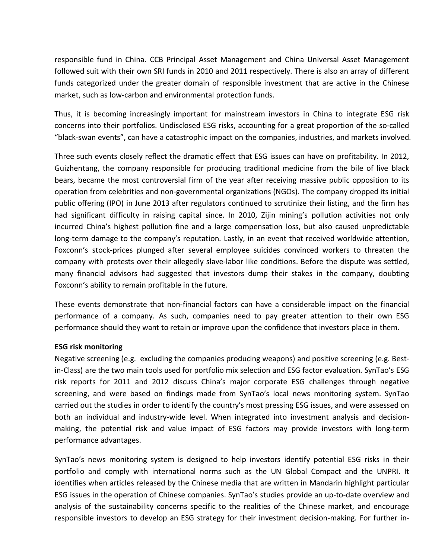responsible fund in China. CCB Principal Asset Management and China Universal Asset Management followed suit with their own SRI funds in 2010 and 2011 respectively. There is also an array of different funds categorized under the greater domain of responsible investment that are active in the Chinese market, such as low-carbon and environmental protection funds.

Thus, it is becoming increasingly important for mainstream investors in China to integrate ESG risk concerns into their portfolios. Undisclosed ESG risks, accounting for a great proportion of the so-called "black-swan events", can have a catastrophic impact on the companies, industries, and markets involved.

Three such events closely reflect the dramatic effect that ESG issues can have on profitability. In 2012, Guizhentang, the company responsible for producing traditional medicine from the bile of live black bears, became the most controversial firm of the year after receiving massive public opposition to its operation from celebrities and non-governmental organizations (NGOs). The company dropped its initial public offering (IPO) in June 2013 after regulators continued to scrutinize their listing, and the firm has had significant difficulty in raising capital since. In 2010, Zijin mining's pollution activities not only incurred China's highest pollution fine and a large compensation loss, but also caused unpredictable long-term damage to the company's reputation. Lastly, in an event that received worldwide attention, Foxconn's stock-prices plunged after several employee suicides convinced workers to threaten the company with protests over their allegedly slave-labor like conditions. Before the dispute was settled, many financial advisors had suggested that investors dump their stakes in the company, doubting Foxconn's ability to remain profitable in the future.

These events demonstrate that non-financial factors can have a considerable impact on the financial performance of a company. As such, companies need to pay greater attention to their own ESG performance should they want to retain or improve upon the confidence that investors place in them.

## **ESG risk monitoring**

Negative screening (e.g. excluding the companies producing weapons) and positive screening (e.g. Bestin-Class) are the two main tools used for portfolio mix selection and ESG factor evaluation. SynTao's ESG risk reports for 2011 and 2012 discuss China's major corporate ESG challenges through negative screening, and were based on findings made from SynTao's local news monitoring system. SynTao carried out the studies in order to identify the country's most pressing ESG issues, and were assessed on both an individual and industry-wide level. When integrated into investment analysis and decisionmaking, the potential risk and value impact of ESG factors may provide investors with long-term performance advantages.

SynTao's news monitoring system is designed to help investors identify potential ESG risks in their portfolio and comply with international norms such as the UN Global Compact and the UNPRI. It identifies when articles released by the Chinese media that are written in Mandarin highlight particular ESG issues in the operation of Chinese companies. SynTao's studies provide an up-to-date overview and analysis of the sustainability concerns specific to the realities of the Chinese market, and encourage responsible investors to develop an ESG strategy for their investment decision-making. For further in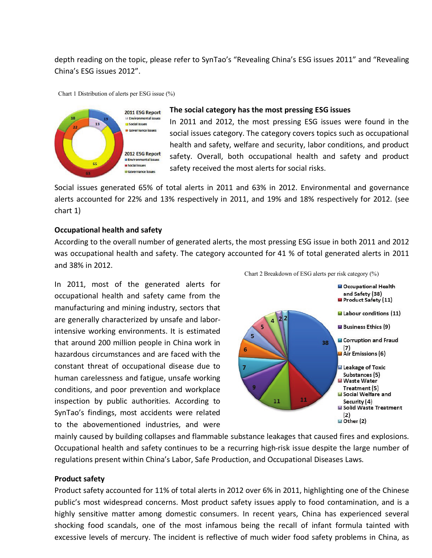depth reading on the topic, please refer to SynTao's "Revealing China's ESG issues 2011" and "Revealing China's ESG issues 2012".

Chart 1 Distribution of alerts per ESG issue (%)



### **The social category has the most pressing ESG issues**

In 2011 and 2012, the most pressing ESG issues were found in the social issues category. The category covers topics such as occupational health and safety, welfare and security, labor conditions, and product safety. Overall, both occupational health and safety and product safety received the most alerts for social risks.

Social issues generated 65% of total alerts in 2011 and 63% in 2012. Environmental and governance alerts accounted for 22% and 13% respectively in 2011, and 19% and 18% respectively for 2012. (see chart 1)

### **Occupational health and safety**

According to the overall number of generated alerts, the most pressing ESG issue in both 2011 and 2012 was occupational health and safety. The category accounted for 41 % of total generated alerts in 2011 and 38% in 2012.

In 2011, most of the generated alerts for occupational health and safety came from the manufacturing and mining industry, sectors that are generally characterized by unsafe and laborintensive working environments. It is estimated that around 200 million people in China work in hazardous circumstances and are faced with the constant threat of occupational disease due to human carelessness and fatigue, unsafe working conditions, and poor prevention and workplace inspection by public authorities. According to SynTao's findings, most accidents were related to the abovementioned industries, and were



mainly caused by building collapses and flammable substance leakages that caused fires and explosions. Occupational health and safety continues to be a recurring high-risk issue despite the large number of regulations present within China's Labor, Safe Production, and Occupational Diseases Laws.

#### **Product safety**

Product safety accounted for 11% of total alerts in 2012 over 6% in 2011, highlighting one of the Chinese public's most widespread concerns. Most product safety issues apply to food contamination, and is a highly sensitive matter among domestic consumers. In recent years, China has experienced several shocking food scandals, one of the most infamous being the recall of infant formula tainted with excessive levels of mercury. The incident is reflective of much wider food safety problems in China, as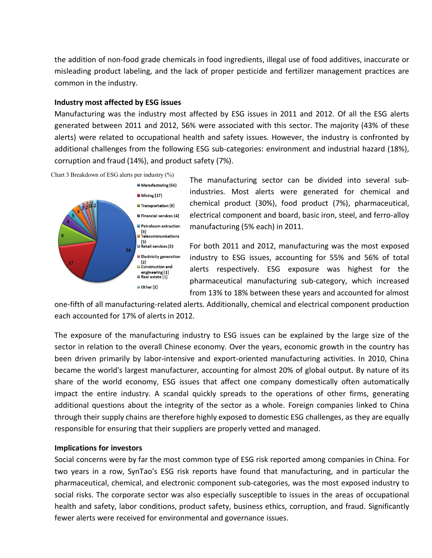the addition of non-food grade chemicals in food ingredients, illegal use of food additives, inaccurate or misleading product labeling, and the lack of proper pesticide and fertilizer management practices are common in the industry.

## **Industry most affected by ESG issues**

Manufacturing was the industry most affected by ESG issues in 2011 and 2012. Of all the ESG alerts generated between 2011 and 2012, 56% were associated with this sector. The majority (43% of these alerts) were related to occupational health and safety issues. However, the industry is confronted by additional challenges from the following ESG sub-categories: environment and industrial hazard (18%), corruption and fraud (14%), and product safety (7%).

Chart 3 Breakdown of ESG alerts per industry (%)



The manufacturing sector can be divided into several subindustries. Most alerts were generated for chemical and chemical product (30%), food product (7%), pharmaceutical, electrical component and board, basic iron, steel, and ferro-alloy manufacturing (5% each) in 2011.

For both 2011 and 2012, manufacturing was the most exposed industry to ESG issues, accounting for 55% and 56% of total alerts respectively. ESG exposure was highest for the pharmaceutical manufacturing sub-category, which increased from 13% to 18% between these years and accounted for almost

one-fifth of all manufacturing-related alerts. Additionally, chemical and electrical component production each accounted for 17% of alerts in 2012.

The exposure of the manufacturing industry to ESG issues can be explained by the large size of the sector in relation to the overall Chinese economy. Over the years, economic growth in the country has been driven primarily by labor-intensive and export-oriented manufacturing activities. In 2010, China became the world's largest manufacturer, accounting for almost 20% of global output. By nature of its share of the world economy, ESG issues that affect one company domestically often automatically impact the entire industry. A scandal quickly spreads to the operations of other firms, generating additional questions about the integrity of the sector as a whole. Foreign companies linked to China through their supply chains are therefore highly exposed to domestic ESG challenges, as they are equally responsible for ensuring that their suppliers are properly vetted and managed.

## **Implications for investors**

Social concerns were by far the most common type of ESG risk reported among companies in China. For two years in a row, SynTao's ESG risk reports have found that manufacturing, and in particular the pharmaceutical, chemical, and electronic component sub-categories, was the most exposed industry to social risks. The corporate sector was also especially susceptible to issues in the areas of occupational health and safety, labor conditions, product safety, business ethics, corruption, and fraud. Significantly fewer alerts were received for environmental and governance issues.